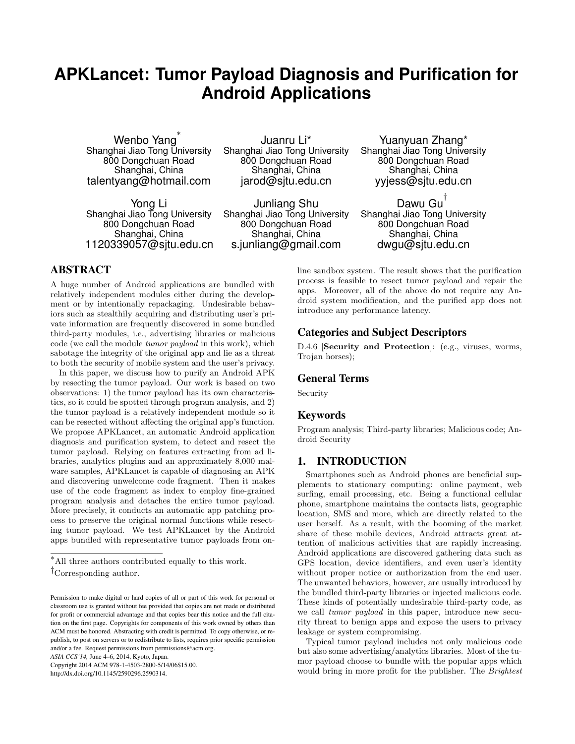# **APKLancet: Tumor Payload Diagnosis and Purification for Android Applications**

wenbo Yang<sup>\*</sup> Shanghai Jiao Tong University 800 Dongchuan Road Shanghai, China talentyang@hotmail.com

Yong Li Shanghai Jiao Tong University 800 Dongchuan Road Shanghai, China 1120339057@sjtu.edu.cn

Juanru Li\* Shanghai Jiao Tong University 800 Dongchuan Road Shanghai, China jarod@sjtu.edu.cn

Junliang Shu Shanghai Jiao Tong University 800 Dongchuan Road Shanghai, China s.junliang@gmail.com

Shanghai Jiao Tong University 800 Dongchuan Road Shanghai, China yyjess@sjtu.edu.cn

Yuanyuan Zhang\*

Dawu Gu $^\dagger$ Shanghai Jiao Tong University 800 Dongchuan Road Shanghai, China dwgu@sjtu.edu.cn

# ABSTRACT

A huge number of Android applications are bundled with relatively independent modules either during the development or by intentionally repackaging. Undesirable behaviors such as stealthily acquiring and distributing user's private information are frequently discovered in some bundled third-party modules, i.e., advertising libraries or malicious code (we call the module tumor payload in this work), which sabotage the integrity of the original app and lie as a threat to both the security of mobile system and the user's privacy.

In this paper, we discuss how to purify an Android APK by resecting the tumor payload. Our work is based on two observations: 1) the tumor payload has its own characteristics, so it could be spotted through program analysis, and 2) the tumor payload is a relatively independent module so it can be resected without affecting the original app's function. We propose APKLancet, an automatic Android application diagnosis and purification system, to detect and resect the tumor payload. Relying on features extracting from ad libraries, analytics plugins and an approximately 8,000 malware samples, APKLancet is capable of diagnosing an APK and discovering unwelcome code fragment. Then it makes use of the code fragment as index to employ fine-grained program analysis and detaches the entire tumor payload. More precisely, it conducts an automatic app patching process to preserve the original normal functions while resecting tumor payload. We test APKLancet by the Android apps bundled with representative tumor payloads from on-

*ASIA CCS'14,* June 4–6, 2014, Kyoto, Japan.

Copyright 2014 ACM 978-1-4503-2800-5/14/06\$15.00.

http://dx.doi.org/10.1145/2590296.2590314.

line sandbox system. The result shows that the purification process is feasible to resect tumor payload and repair the apps. Moreover, all of the above do not require any Android system modification, and the purified app does not introduce any performance latency.

## Categories and Subject Descriptors

D.4.6 [Security and Protection]: (e.g., viruses, worms, Trojan horses);

#### General Terms

Security

## Keywords

Program analysis; Third-party libraries; Malicious code; Android Security

#### 1. INTRODUCTION

Smartphones such as Android phones are beneficial supplements to stationary computing: online payment, web surfing, email processing, etc. Being a functional cellular phone, smartphone maintains the contacts lists, geographic location, SMS and more, which are directly related to the user herself. As a result, with the booming of the market share of these mobile devices, Android attracts great attention of malicious activities that are rapidly increasing. Android applications are discovered gathering data such as GPS location, device identifiers, and even user's identity without proper notice or authorization from the end user. The unwanted behaviors, however, are usually introduced by the bundled third-party libraries or injected malicious code. These kinds of potentially undesirable third-party code, as we call *tumor payload* in this paper, introduce new security threat to benign apps and expose the users to privacy leakage or system compromising.

Typical tumor payload includes not only malicious code but also some advertising/analytics libraries. Most of the tumor payload choose to bundle with the popular apps which would bring in more profit for the publisher. The Brightest

 $^{\ast}$  All three authors contributed equally to this work. †Corresponding author.

Permission to make digital or hard copies of all or part of this work for personal or classroom use is granted without fee provided that copies are not made or distributed for profit or commercial advantage and that copies bear this notice and the full citation on the first page. Copyrights for components of this work owned by others than ACM must be honored. Abstracting with credit is permitted. To copy otherwise, or republish, to post on servers or to redistribute to lists, requires prior specific permission and/or a fee. Request permissions from permissions@acm.org.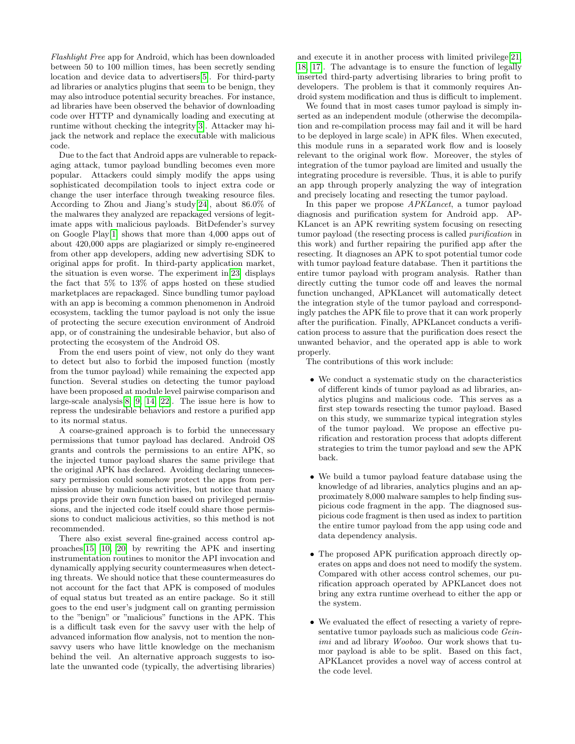Flashlight Free app for Android, which has been downloaded between 50 to 100 million times, has been secretly sending location and device data to advertisers[\[5\]](#page-10-0). For third-party ad libraries or analytics plugins that seem to be benign, they may also introduce potential security breaches. For instance, ad libraries have been observed the behavior of downloading code over HTTP and dynamically loading and executing at runtime without checking the integrity[\[3\]](#page-10-1). Attacker may hijack the network and replace the executable with malicious code.

Due to the fact that Android apps are vulnerable to repackaging attack, tumor payload bundling becomes even more popular. Attackers could simply modify the apps using sophisticated decompilation tools to inject extra code or change the user interface through tweaking resource files. According to Zhou and Jiang's study[\[24\]](#page-11-0), about 86.0% of the malwares they analyzed are repackaged versions of legitimate apps with malicious payloads. BitDefender's survey on Google Play[\[1\]](#page-10-2) shows that more than 4,000 apps out of about 420,000 apps are plagiarized or simply re-engineered from other app developers, adding new advertising SDK to original apps for profit. In third-party application market, the situation is even worse. The experiment in[\[23\]](#page-11-1) displays the fact that 5% to 13% of apps hosted on these studied marketplaces are repackaged. Since bundling tumor payload with an app is becoming a common phenomenon in Android ecosystem, tackling the tumor payload is not only the issue of protecting the secure execution environment of Android app, or of constraining the undesirable behavior, but also of protecting the ecosystem of the Android OS.

From the end users point of view, not only do they want to detect but also to forbid the imposed function (mostly from the tumor payload) while remaining the expected app function. Several studies on detecting the tumor payload have been proposed at module level pairwise comparison and large-scale analysis[\[8,](#page-10-3) [9,](#page-10-4) [14,](#page-11-2) [22\]](#page-11-3). The issue here is how to repress the undesirable behaviors and restore a purified app to its normal status.

A coarse-grained approach is to forbid the unnecessary permissions that tumor payload has declared. Android OS grants and controls the permissions to an entire APK, so the injected tumor payload shares the same privilege that the original APK has declared. Avoiding declaring unnecessary permission could somehow protect the apps from permission abuse by malicious activities, but notice that many apps provide their own function based on privileged permissions, and the injected code itself could share those permissions to conduct malicious activities, so this method is not recommended.

There also exist several fine-grained access control approaches[\[15,](#page-11-4) [10,](#page-10-5) [20\]](#page-11-5) by rewriting the APK and inserting instrumentation routines to monitor the API invocation and dynamically applying security countermeasures when detecting threats. We should notice that these countermeasures do not account for the fact that APK is composed of modules of equal status but treated as an entire package. So it still goes to the end user's judgment call on granting permission to the "benign" or "malicious" functions in the APK. This is a difficult task even for the savvy user with the help of advanced information flow analysis, not to mention the nonsavvy users who have little knowledge on the mechanism behind the veil. An alternative approach suggests to isolate the unwanted code (typically, the advertising libraries)

and execute it in another process with limited privilege[\[21,](#page-11-6) [18,](#page-11-7) [17\]](#page-11-8). The advantage is to ensure the function of legally inserted third-party advertising libraries to bring profit to developers. The problem is that it commonly requires Android system modification and thus is difficult to implement.

We found that in most cases tumor payload is simply inserted as an independent module (otherwise the decompilation and re-compilation process may fail and it will be hard to be deployed in large scale) in APK files. When executed, this module runs in a separated work flow and is loosely relevant to the original work flow. Moreover, the styles of integration of the tumor payload are limited and usually the integrating procedure is reversible. Thus, it is able to purify an app through properly analyzing the way of integration and precisely locating and resecting the tumor payload.

In this paper we propose APKLancet, a tumor payload diagnosis and purification system for Android app. AP-KLancet is an APK rewriting system focusing on resecting tumor payload (the resecting process is called purification in this work) and further repairing the purified app after the resecting. It diagnoses an APK to spot potential tumor code with tumor payload feature database. Then it partitions the entire tumor payload with program analysis. Rather than directly cutting the tumor code off and leaves the normal function unchanged, APKLancet will automatically detect the integration style of the tumor payload and correspondingly patches the APK file to prove that it can work properly after the purification. Finally, APKLancet conducts a verification process to assure that the purification does resect the unwanted behavior, and the operated app is able to work properly.

The contributions of this work include:

- We conduct a systematic study on the characteristics of different kinds of tumor payload as ad libraries, analytics plugins and malicious code. This serves as a first step towards resecting the tumor payload. Based on this study, we summarize typical integration styles of the tumor payload. We propose an effective purification and restoration process that adopts different strategies to trim the tumor payload and sew the APK back.
- We build a tumor payload feature database using the knowledge of ad libraries, analytics plugins and an approximately 8,000 malware samples to help finding suspicious code fragment in the app. The diagnosed suspicious code fragment is then used as index to partition the entire tumor payload from the app using code and data dependency analysis.
- The proposed APK purification approach directly operates on apps and does not need to modify the system. Compared with other access control schemes, our purification approach operated by APKLancet does not bring any extra runtime overhead to either the app or the system.
- We evaluated the effect of resecting a variety of representative tumor payloads such as malicious code Geinimi and ad library *Wooboo*. Our work shows that tumor payload is able to be split. Based on this fact, APKLancet provides a novel way of access control at the code level.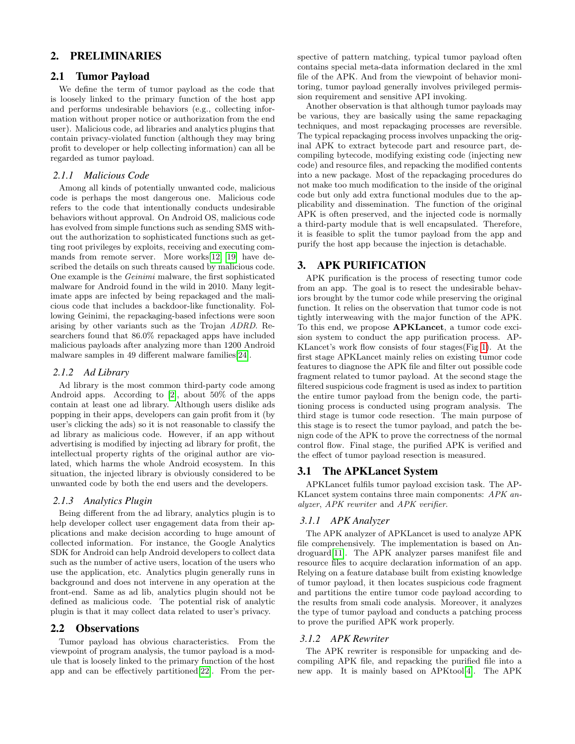# 2. PRELIMINARIES

# 2.1 Tumor Payload

We define the term of tumor payload as the code that is loosely linked to the primary function of the host app and performs undesirable behaviors (e.g., collecting information without proper notice or authorization from the end user). Malicious code, ad libraries and analytics plugins that contain privacy-violated function (although they may bring profit to developer or help collecting information) can all be regarded as tumor payload.

#### *2.1.1 Malicious Code*

Among all kinds of potentially unwanted code, malicious code is perhaps the most dangerous one. Malicious code refers to the code that intentionally conducts undesirable behaviors without approval. On Android OS, malicious code has evolved from simple functions such as sending SMS without the authorization to sophisticated functions such as getting root privileges by exploits, receiving and executing commands from remote server. More works[\[12,](#page-10-6) [19\]](#page-11-9) have described the details on such threats caused by malicious code. One example is the Geinimi malware, the first sophisticated malware for Android found in the wild in 2010. Many legitimate apps are infected by being repackaged and the malicious code that includes a backdoor-like functionality. Following Geinimi, the repackaging-based infections were soon arising by other variants such as the Trojan ADRD. Researchers found that 86.0% repackaged apps have included malicious payloads after analyzing more than 1200 Android malware samples in 49 different malware families[\[24\]](#page-11-0).

#### *2.1.2 Ad Library*

Ad library is the most common third-party code among Android apps. According to [\[2\]](#page-10-7), about 50% of the apps contain at least one ad library. Although users dislike ads popping in their apps, developers can gain profit from it (by user's clicking the ads) so it is not reasonable to classify the ad library as malicious code. However, if an app without advertising is modified by injecting ad library for profit, the intellectual property rights of the original author are violated, which harms the whole Android ecosystem. In this situation, the injected library is obviously considered to be unwanted code by both the end users and the developers.

## *2.1.3 Analytics Plugin*

Being different from the ad library, analytics plugin is to help developer collect user engagement data from their applications and make decision according to huge amount of collected information. For instance, the Google Analytics SDK for Android can help Android developers to collect data such as the number of active users, location of the users who use the application, etc. Analytics plugin generally runs in background and does not intervene in any operation at the front-end. Same as ad lib, analytics plugin should not be defined as malicious code. The potential risk of analytic plugin is that it may collect data related to user's privacy.

#### 2.2 Observations

Tumor payload has obvious characteristics. From the viewpoint of program analysis, the tumor payload is a module that is loosely linked to the primary function of the host app and can be effectively partitioned[\[22\]](#page-11-3). From the perspective of pattern matching, typical tumor payload often contains special meta-data information declared in the xml file of the APK. And from the viewpoint of behavior monitoring, tumor payload generally involves privileged permission requirement and sensitive API invoking.

Another observation is that although tumor payloads may be various, they are basically using the same repackaging techniques, and most repackaging processes are reversible. The typical repackaging process involves unpacking the original APK to extract bytecode part and resource part, decompiling bytecode, modifying existing code (injecting new code) and resource files, and repacking the modified contents into a new package. Most of the repackaging procedures do not make too much modification to the inside of the original code but only add extra functional modules due to the applicability and dissemination. The function of the original APK is often preserved, and the injected code is normally a third-party module that is well encapsulated. Therefore, it is feasible to split the tumor payload from the app and purify the host app because the injection is detachable.

## 3. APK PURIFICATION

APK purification is the process of resecting tumor code from an app. The goal is to resect the undesirable behaviors brought by the tumor code while preserving the original function. It relies on the observation that tumor code is not tightly interweaving with the major function of the APK. To this end, we propose APKLancet, a tumor code excision system to conduct the app purification process. AP-KLancet's work flow consists of four stages(Fig [1\)](#page-3-0). At the first stage APKLancet mainly relies on existing tumor code features to diagnose the APK file and filter out possible code fragment related to tumor payload. At the second stage the filtered suspicious code fragment is used as index to partition the entire tumor payload from the benign code, the partitioning process is conducted using program analysis. The third stage is tumor code resection. The main purpose of this stage is to resect the tumor payload, and patch the benign code of the APK to prove the correctness of the normal control flow. Final stage, the purified APK is verified and the effect of tumor payload resection is measured.

## 3.1 The APKLancet System

APKLancet fulfils tumor payload excision task. The AP-KLancet system contains three main components: APK analyzer, APK rewriter and APK verifier.

#### *3.1.1 APK Analyzer*

The APK analyzer of APKLancet is used to analyze APK file comprehensively. The implementation is based on Androguard[\[11\]](#page-10-8). The APK analyzer parses manifest file and resource files to acquire declaration information of an app. Relying on a feature database built from existing knowledge of tumor payload, it then locates suspicious code fragment and partitions the entire tumor code payload according to the results from smali code analysis. Moreover, it analyzes the type of tumor payload and conducts a patching process to prove the purified APK work properly.

#### *3.1.2 APK Rewriter*

The APK rewriter is responsible for unpacking and decompiling APK file, and repacking the purified file into a new app. It is mainly based on APKtool[\[4\]](#page-10-9). The APK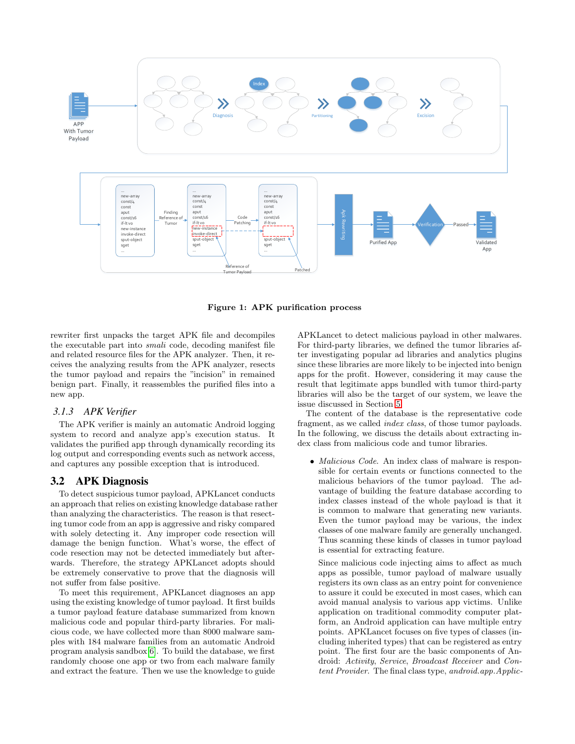

Figure 1: APK purification process

rewriter first unpacks the target APK file and decompiles the executable part into smali code, decoding manifest file and related resource files for the APK analyzer. Then, it receives the analyzing results from the APK analyzer, resects the tumor payload and repairs the "incision" in remained benign part. Finally, it reassembles the purified files into a new app.

#### *3.1.3 APK Verifier*

The APK verifier is mainly an automatic Android logging system to record and analyze app's execution status. It validates the purified app through dynamically recording its log output and corresponding events such as network access, and captures any possible exception that is introduced.

## 3.2 APK Diagnosis

To detect suspicious tumor payload, APKLancet conducts an approach that relies on existing knowledge database rather than analyzing the characteristics. The reason is that resecting tumor code from an app is aggressive and risky compared with solely detecting it. Any improper code resection will damage the benign function. What's worse, the effect of code resection may not be detected immediately but afterwards. Therefore, the strategy APKLancet adopts should be extremely conservative to prove that the diagnosis will not suffer from false positive.

To meet this requirement, APKLancet diagnoses an app using the existing knowledge of tumor payload. It first builds a tumor payload feature database summarized from known malicious code and popular third-party libraries. For malicious code, we have collected more than 8000 malware samples with 184 malware families from an automatic Android program analysis sandbox[\[6\]](#page-10-10). To build the database, we first randomly choose one app or two from each malware family and extract the feature. Then we use the knowledge to guide <span id="page-3-0"></span>APKLancet to detect malicious payload in other malwares. For third-party libraries, we defined the tumor libraries after investigating popular ad libraries and analytics plugins since these libraries are more likely to be injected into benign apps for the profit. However, considering it may cause the result that legitimate apps bundled with tumor third-party libraries will also be the target of our system, we leave the issue discussed in Section [5.](#page-8-0)

The content of the database is the representative code fragment, as we called index class, of those tumor payloads. In the following, we discuss the details about extracting index class from malicious code and tumor libraries.

• Malicious Code. An index class of malware is responsible for certain events or functions connected to the malicious behaviors of the tumor payload. The advantage of building the feature database according to index classes instead of the whole payload is that it is common to malware that generating new variants. Even the tumor payload may be various, the index classes of one malware family are generally unchanged. Thus scanning these kinds of classes in tumor payload is essential for extracting feature.

Since malicious code injecting aims to affect as much apps as possible, tumor payload of malware usually registers its own class as an entry point for convenience to assure it could be executed in most cases, which can avoid manual analysis to various app victims. Unlike application on traditional commodity computer platform, an Android application can have multiple entry points. APKLancet focuses on five types of classes (including inherited types) that can be registered as entry point. The first four are the basic components of Android: Activity, Service, Broadcast Receiver and Content Provider. The final class type, android.app.Applic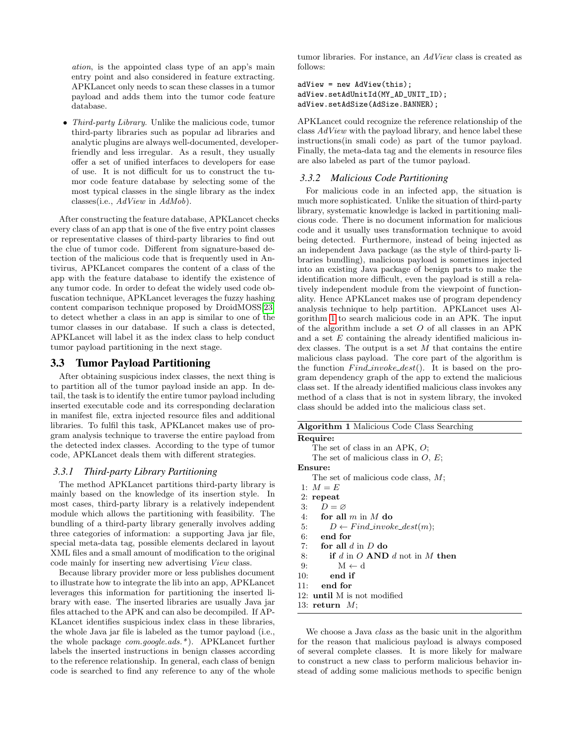ation, is the appointed class type of an app's main entry point and also considered in feature extracting. APKLancet only needs to scan these classes in a tumor payload and adds them into the tumor code feature database.

• Third-party Library. Unlike the malicious code, tumor third-party libraries such as popular ad libraries and analytic plugins are always well-documented, developerfriendly and less irregular. As a result, they usually offer a set of unified interfaces to developers for ease of use. It is not difficult for us to construct the tumor code feature database by selecting some of the most typical classes in the single library as the index classes(i.e., AdView in AdMob).

After constructing the feature database, APKLancet checks every class of an app that is one of the five entry point classes or representative classes of third-party libraries to find out the clue of tumor code. Different from signature-based detection of the malicious code that is frequently used in Antivirus, APKLancet compares the content of a class of the app with the feature database to identify the existence of any tumor code. In order to defeat the widely used code obfuscation technique, APKLancet leverages the fuzzy hashing content comparison technique proposed by DroidMOSS[\[23\]](#page-11-1) to detect whether a class in an app is similar to one of the tumor classes in our database. If such a class is detected, APKLancet will label it as the index class to help conduct tumor payload partitioning in the next stage.

## 3.3 Tumor Payload Partitioning

After obtaining suspicious index classes, the next thing is to partition all of the tumor payload inside an app. In detail, the task is to identify the entire tumor payload including inserted executable code and its corresponding declaration in manifest file, extra injected resource files and additional libraries. To fulfil this task, APKLancet makes use of program analysis technique to traverse the entire payload from the detected index classes. According to the type of tumor code, APKLancet deals them with different strategies.

#### *3.3.1 Third-party Library Partitioning*

The method APKLancet partitions third-party library is mainly based on the knowledge of its insertion style. In most cases, third-party library is a relatively independent module which allows the partitioning with feasibility. The bundling of a third-party library generally involves adding three categories of information: a supporting Java jar file, special meta-data tag, possible elements declared in layout XML files and a small amount of modification to the original code mainly for inserting new advertising View class.

Because library provider more or less publishes document to illustrate how to integrate the lib into an app, APKLancet leverages this information for partitioning the inserted library with ease. The inserted libraries are usually Java jar files attached to the APK and can also be decompiled. If AP-KLancet identifies suspicious index class in these libraries, the whole Java jar file is labeled as the tumor payload (i.e., the whole package com.google.ads.\* ). APKLancet further labels the inserted instructions in benign classes according to the reference relationship. In general, each class of benign code is searched to find any reference to any of the whole

tumor libraries. For instance, an AdView class is created as follows:

```
adView = new AdView(this);
adView.setAdUnitId(MY_AD_UNIT_ID);
adView.setAdSize(AdSize.BANNER);
```
APKLancet could recognize the reference relationship of the class AdView with the payload library, and hence label these instructions(in smali code) as part of the tumor payload. Finally, the meta-data tag and the elements in resource files are also labeled as part of the tumor payload.

#### *3.3.2 Malicious Code Partitioning*

For malicious code in an infected app, the situation is much more sophisticated. Unlike the situation of third-party library, systematic knowledge is lacked in partitioning malicious code. There is no document information for malicious code and it usually uses transformation technique to avoid being detected. Furthermore, instead of being injected as an independent Java package (as the style of third-party libraries bundling), malicious payload is sometimes injected into an existing Java package of benign parts to make the identification more difficult, even the payload is still a relatively independent module from the viewpoint of functionality. Hence APKLancet makes use of program dependency analysis technique to help partition. APKLancet uses Algorithm [1](#page-4-0) to search malicious code in an APK. The input of the algorithm include a set O of all classes in an APK and a set  $E$  containing the already identified malicious index classes. The output is a set  $M$  that contains the entire malicious class payload. The core part of the algorithm is the function  $Find\_invoke\_dest()$ . It is based on the program dependency graph of the app to extend the malicious class set. If the already identified malicious class invokes any method of a class that is not in system library, the invoked class should be added into the malicious class set.

<span id="page-4-0"></span>

| <b>Algorithm 1</b> Malicious Code Class Searching |
|---------------------------------------------------|
| Require:                                          |
| The set of class in an APK, $O$ ;                 |
| The set of malicious class in $O, E$ ;            |
| Ensure:                                           |
| The set of malicious code class, $M$ ;            |
| 1: $M = E$                                        |
| 2: repeat                                         |
| 3: $D = \emptyset$                                |
| 4: for all $m$ in $M$ do                          |
| $D \leftarrow Find\_invoke\_dest(m);$<br>5:       |
| $6:$ end for                                      |
| 7: for all $d$ in $D$ do                          |
| if d in $O$ AND d not in M then<br>8:             |
| 9:<br>$M \leftarrow d$                            |
| end if<br>10:                                     |
| end for<br>11:                                    |
| 12: <b>until</b> M is not modified                |
| 13: return $M$ ;                                  |

We choose a Java *class* as the basic unit in the algorithm for the reason that malicious payload is always composed of several complete classes. It is more likely for malware to construct a new class to perform malicious behavior instead of adding some malicious methods to specific benign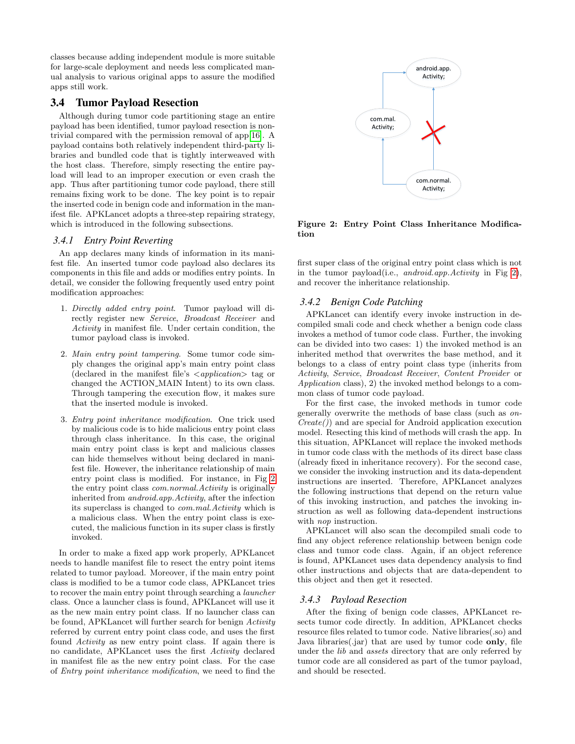classes because adding independent module is more suitable for large-scale deployment and needs less complicated manual analysis to various original apps to assure the modified apps still work.

## 3.4 Tumor Payload Resection

Although during tumor code partitioning stage an entire payload has been identified, tumor payload resection is nontrivial compared with the permission removal of app[\[16\]](#page-11-10). A payload contains both relatively independent third-party libraries and bundled code that is tightly interweaved with the host class. Therefore, simply resecting the entire payload will lead to an improper execution or even crash the app. Thus after partitioning tumor code payload, there still remains fixing work to be done. The key point is to repair the inserted code in benign code and information in the manifest file. APKLancet adopts a three-step repairing strategy, which is introduced in the following subsections.

#### *3.4.1 Entry Point Reverting*

An app declares many kinds of information in its manifest file. An inserted tumor code payload also declares its components in this file and adds or modifies entry points. In detail, we consider the following frequently used entry point modification approaches:

- 1. Directly added entry point. Tumor payload will directly register new Service, Broadcast Receiver and Activity in manifest file. Under certain condition, the tumor payload class is invoked.
- 2. Main entry point tampering. Some tumor code simply changes the original app's main entry point class (declared in the manifest file's  $\langle application \rangle$  tag or changed the ACTION\_MAIN Intent) to its own class. Through tampering the execution flow, it makes sure that the inserted module is invoked.
- 3. Entry point inheritance modification. One trick used by malicious code is to hide malicious entry point class through class inheritance. In this case, the original main entry point class is kept and malicious classes can hide themselves without being declared in manifest file. However, the inheritance relationship of main entry point class is modified. For instance, in Fig [2](#page-5-0) the entry point class com.normal.Activity is originally inherited from android.app.Activity, after the infection its superclass is changed to com.mal.Activity which is a malicious class. When the entry point class is executed, the malicious function in its super class is firstly invoked.

In order to make a fixed app work properly, APKLancet needs to handle manifest file to resect the entry point items related to tumor payload. Moreover, if the main entry point class is modified to be a tumor code class, APKLancet tries to recover the main entry point through searching a launcher class. Once a launcher class is found, APKLancet will use it as the new main entry point class. If no launcher class can be found, APKLancet will further search for benign Activity referred by current entry point class code, and uses the first found Activity as new entry point class. If again there is no candidate, APKLancet uses the first Activity declared in manifest file as the new entry point class. For the case of Entry point inheritance modification, we need to find the



<span id="page-5-0"></span>Figure 2: Entry Point Class Inheritance Modification

first super class of the original entry point class which is not in the tumor payload(i.e., android.app.Activity in Fig [2\)](#page-5-0), and recover the inheritance relationship.

#### *3.4.2 Benign Code Patching*

APKLancet can identify every invoke instruction in decompiled smali code and check whether a benign code class invokes a method of tumor code class. Further, the invoking can be divided into two cases: 1) the invoked method is an inherited method that overwrites the base method, and it belongs to a class of entry point class type (inherits from Activity, Service, Broadcast Receiver, Content Provider or Application class), 2) the invoked method belongs to a common class of tumor code payload.

For the first case, the invoked methods in tumor code generally overwrite the methods of base class (such as on- $Create()$  and are special for Android application execution model. Resecting this kind of methods will crash the app. In this situation, APKLancet will replace the invoked methods in tumor code class with the methods of its direct base class (already fixed in inheritance recovery). For the second case, we consider the invoking instruction and its data-dependent instructions are inserted. Therefore, APKLancet analyzes the following instructions that depend on the return value of this invoking instruction, and patches the invoking instruction as well as following data-dependent instructions with *nop* instruction.

APKLancet will also scan the decompiled smali code to find any object reference relationship between benign code class and tumor code class. Again, if an object reference is found, APKLancet uses data dependency analysis to find other instructions and objects that are data-dependent to this object and then get it resected.

#### *3.4.3 Payload Resection*

After the fixing of benign code classes, APKLancet resects tumor code directly. In addition, APKLancet checks resource files related to tumor code. Native libraries(.so) and Java libraries(.jar) that are used by tumor code only, file under the lib and assets directory that are only referred by tumor code are all considered as part of the tumor payload, and should be resected.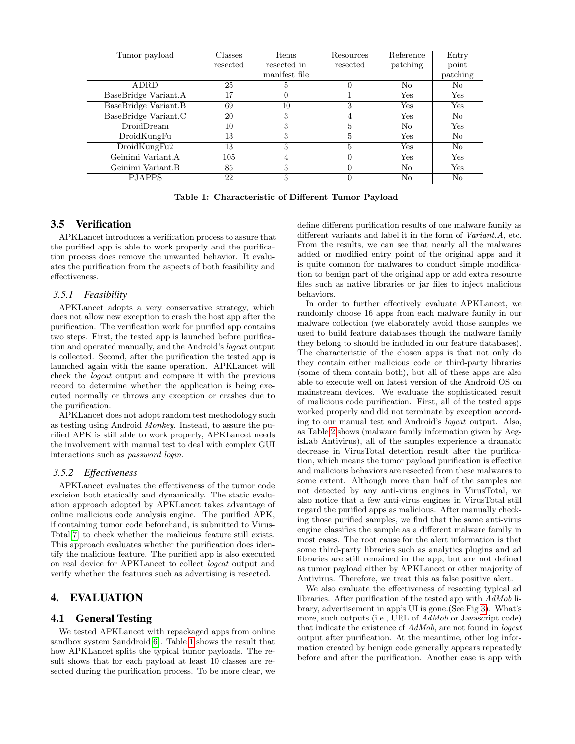| Tumor payload        | Classes  | Items         | Resources | Reference | Entry    |
|----------------------|----------|---------------|-----------|-----------|----------|
|                      | resected | resected in   | resected  | patching  | point    |
|                      |          | manifest file |           |           | patching |
| ADRD                 | 25       | 5             | 0         | No        | No       |
| BaseBridge Variant.A | 17       | $\mathbf{0}$  |           | Yes       | Yes      |
| BaseBridge Variant.B | 69       | 10            | 3         | Yes       | Yes      |
| BaseBridge Variant.C | 20       | 3             | 4         | Yes       | No       |
| DroidDream           | 10       | 3             | 5         | No        | Yes      |
| DroidKungFu          | 13       | 3             | 5         | Yes       | No       |
| DroidKungFu2         | 13       | 3             | 5         | Yes       | No       |
| Geinimi Variant.A    | 105      |               |           | Yes       | Yes      |
| Geinimi Variant.B    | 85       | 3             | 0         | No        | Yes      |
| <b>PJAPPS</b>        | 22       | 3             |           | No        | No       |

Table 1: Characteristic of Different Tumor Payload

## 3.5 Verification

APKLancet introduces a verification process to assure that the purified app is able to work properly and the purification process does remove the unwanted behavior. It evaluates the purification from the aspects of both feasibility and effectiveness.

#### *3.5.1 Feasibility*

APKLancet adopts a very conservative strategy, which does not allow new exception to crash the host app after the purification. The verification work for purified app contains two steps. First, the tested app is launched before purification and operated manually, and the Android's logcat output is collected. Second, after the purification the tested app is launched again with the same operation. APKLancet will check the logcat output and compare it with the previous record to determine whether the application is being executed normally or throws any exception or crashes due to the purification.

APKLancet does not adopt random test methodology such as testing using Android Monkey. Instead, to assure the purified APK is still able to work properly, APKLancet needs the involvement with manual test to deal with complex GUI interactions such as password login.

#### *3.5.2 Effectiveness*

APKLancet evaluates the effectiveness of the tumor code excision both statically and dynamically. The static evaluation approach adopted by APKLancet takes advantage of online malicious code analysis engine. The purified APK, if containing tumor code beforehand, is submitted to Virus-Total[\[7\]](#page-10-11) to check whether the malicious feature still exists. This approach evaluates whether the purification does identify the malicious feature. The purified app is also executed on real device for APKLancet to collect logcat output and verify whether the features such as advertising is resected.

#### 4. EVALUATION

#### 4.1 General Testing

We tested APKLancet with repackaged apps from online sandbox system Sanddroid<sup>[\[6\]](#page-10-10)</sup>. Table [1](#page-6-0) shows the result that how APKLancet splits the typical tumor payloads. The result shows that for each payload at least 10 classes are resected during the purification process. To be more clear, we <span id="page-6-0"></span>define different purification results of one malware family as different variants and label it in the form of *Variant.A*, etc. From the results, we can see that nearly all the malwares added or modified entry point of the original apps and it is quite common for malwares to conduct simple modification to benign part of the original app or add extra resource files such as native libraries or jar files to inject malicious behaviors.

In order to further effectively evaluate APKLancet, we randomly choose 16 apps from each malware family in our malware collection (we elaborately avoid those samples we used to build feature databases though the malware family they belong to should be included in our feature databases). The characteristic of the chosen apps is that not only do they contain either malicious code or third-party libraries (some of them contain both), but all of these apps are also able to execute well on latest version of the Android OS on mainstream devices. We evaluate the sophisticated result of malicious code purification. First, all of the tested apps worked properly and did not terminate by exception according to our manual test and Android's logcat output. Also, as Table [2](#page-7-0) shows (malware family information given by AegisLab Antivirus), all of the samples experience a dramatic decrease in VirusTotal detection result after the purification, which means the tumor payload purification is effective and malicious behaviors are resected from these malwares to some extent. Although more than half of the samples are not detected by any anti-virus engines in VirusTotal, we also notice that a few anti-virus engines in VirusTotal still regard the purified apps as malicious. After manually checking those purified samples, we find that the same anti-virus engine classifies the sample as a different malware family in most cases. The root cause for the alert information is that some third-party libraries such as analytics plugins and ad libraries are still remained in the app, but are not defined as tumor payload either by APKLancet or other majority of Antivirus. Therefore, we treat this as false positive alert.

We also evaluate the effectiveness of resecting typical ad libraries. After purification of the tested app with AdMob library, advertisement in app's UI is gone.(See Fig [3\)](#page-7-1). What's more, such outputs (i.e., URL of AdMob or Javascript code) that indicate the existence of AdMob, are not found in logcat output after purification. At the meantime, other log information created by benign code generally appears repeatedly before and after the purification. Another case is app with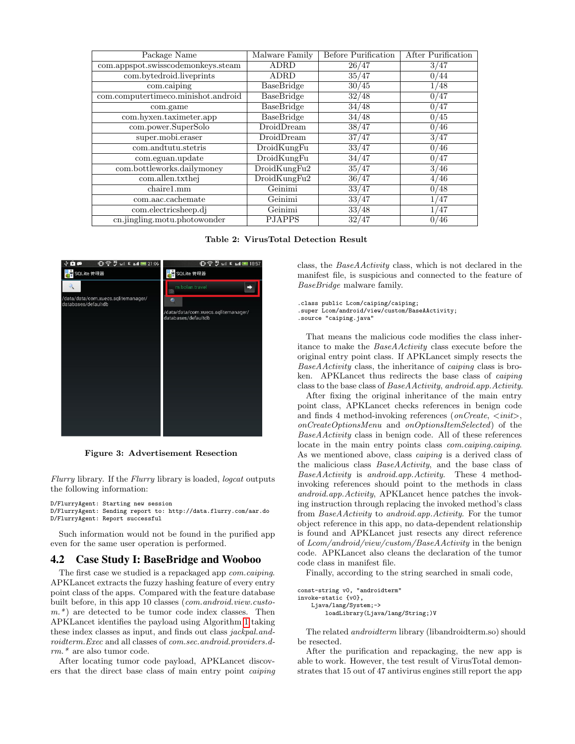| Package Name                        | Malware Family | <b>Before Purification</b> | After Purification |
|-------------------------------------|----------------|----------------------------|--------------------|
| com.appspot.swisscodemonkeys.steam  | ADRD           | 26/47                      | 3/47               |
| com.bytedroid.liveprints            | ADRD           | 35/47                      | 0/44               |
| com.caiping                         | BaseBridge     | 30/45                      | 1/48               |
| com.computertimeco.minishot.android | BaseBridge     | 32/48                      | 0/47               |
| com.game                            | BaseBridge     | 34/48                      | 0/47               |
| com.hyxen.taximeter.app             | BaseBridge     | 34/48                      | 0/45               |
| com.power.SuperSolo                 | DroidDream     | 38/47                      | 0/46               |
| super.mobi.eraser                   | DroidDream     | 37/47                      | 3/47               |
| com.andtutu.stetris                 | DroidKungFu    | 33/47                      | 0/46               |
| com.eguan.update                    | DroidKungFu    | 34/47                      | 0/47               |
| com.bottleworks.dailymoney          | DroidKungFu2   | 35/47                      | 3/46               |
| com.allen.txthej                    | DroidKungFu2   | 36/47                      | 4/46               |
| chaire1/mm                          | Geinimi        | 33/47                      | 0/48               |
| com.aac.cachemate                   | Geinimi        | 33/47                      | 1/47               |
| com.electricsheep.dj                | Geinimi        | 33/48                      | 1/47               |
| cn.jingling.motu.photowonder        | <b>PJAPPS</b>  | 32/47                      | 0/46               |

|  | Table 2: VirusTotal Detection Result |  |
|--|--------------------------------------|--|
|  |                                      |  |



Figure 3: Advertisement Resection

Flurry library. If the Flurry library is loaded, logcat outputs the following information:

```
D/FlurryAgent: Starting new session
```
D/FlurryAgent: Sending report to: http://data.flurry.com/aar.do D/FlurryAgent: Report successful

Such information would not be found in the purified app even for the same user operation is performed.

# 4.2 Case Study I: BaseBridge and Wooboo

The first case we studied is a repackaged app *com.caiping*. APKLancet extracts the fuzzy hashing feature of every entry point class of the apps. Compared with the feature database built before, in this app 10 classes (*com.android.view.custo* $m.*$ ) are detected to be tumor code index classes. Then APKLancet identifies the payload using Algorithm [1](#page-4-0) taking these index classes as input, and finds out class jackpal.androidterm.Exec and all classes of com.sec.android.providers.drm.\* are also tumor code.

After locating tumor code payload, APKLancet discovers that the direct base class of main entry point caiping <span id="page-7-0"></span>class, the BaseAActivity class, which is not declared in the manifest file, is suspicious and connected to the feature of BaseBridge malware family.

```
.class public Lcom/caiping/caiping;
.super Lcom/android/view/custom/BaseAActivity;
.source "caiping.java"
```
That means the malicious code modifies the class inheritance to make the BaseAActivity class execute before the original entry point class. If APKLancet simply resects the BaseAActivity class, the inheritance of caiping class is broken. APKLancet thus redirects the base class of caiping class to the base class of BaseAActivity, android.app.Activity.

<span id="page-7-1"></span>After fixing the original inheritance of the main entry point class, APKLancet checks references in benign code and finds 4 method-invoking references (*onCreate*,  $\langle init \rangle$ , onCreateOptionsMenu and onOptionsItemSelected) of the BaseAActivity class in benign code. All of these references locate in the main entry points class com.caiping.caiping. As we mentioned above, class caiping is a derived class of the malicious class BaseAActivity, and the base class of BaseAActivity is android.app.Activity. These 4 methodinvoking references should point to the methods in class android.app.Activity, APKLancet hence patches the invoking instruction through replacing the invoked method's class from BaseAActivity to android.app.Activity. For the tumor object reference in this app, no data-dependent relationship is found and APKLancet just resects any direct reference of Lcom/android/view/custom/BaseAActivity in the benign code. APKLancet also cleans the declaration of the tumor code class in manifest file.

Finally, according to the string searched in smali code,

```
const-string v0, "androidterm"
invoke-static {v0},
    Ljava/lang/System;->
        loadLibrary(Ljava/lang/String;)V
```
The related androidterm library (libandroidterm.so) should be resected.

After the purification and repackaging, the new app is able to work. However, the test result of VirusTotal demonstrates that 15 out of 47 antivirus engines still report the app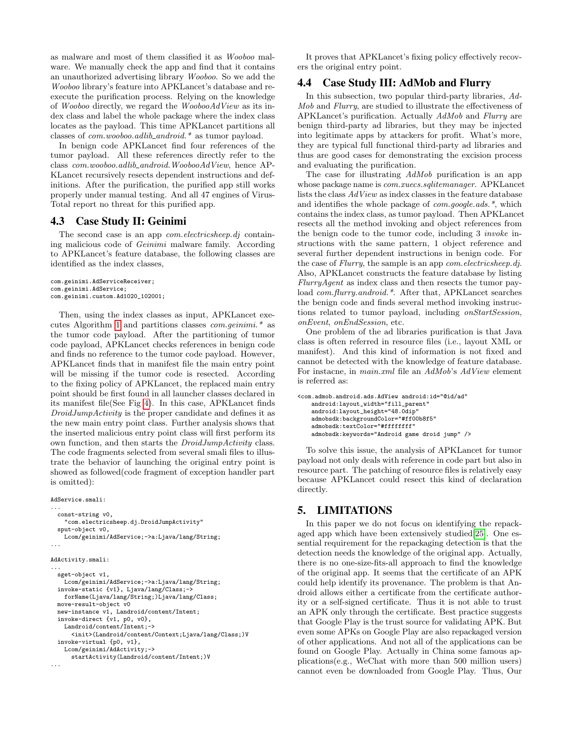as malware and most of them classified it as Wooboo malware. We manually check the app and find that it contains an unauthorized advertising library Wooboo. So we add the Wooboo library's feature into APKLancet's database and reexecute the purification process. Relying on the knowledge of Wooboo directly, we regard the WoobooAdView as its index class and label the whole package where the index class locates as the payload. This time APKLancet partitions all classes of *com.wooboo.adlib\_android.*\* as tumor payload.

In benign code APKLancet find four references of the tumor payload. All these references directly refer to the class com.wooboo.adlib\_android.WoobooAdView, hence AP-KLancet recursively resects dependent instructions and definitions. After the purification, the purified app still works properly under manual testing. And all 47 engines of Virus-Total report no threat for this purified app.

## 4.3 Case Study II: Geinimi

The second case is an app *com.electricsheep.dj* containing malicious code of Geinimi malware family. According to APKLancet's feature database, the following classes are identified as the index classes,

```
com.geinimi.AdServiceReceiver;
com.geinimi.AdService;
com.geinimi.custom.Ad1020_102001;
```
Then, using the index classes as input, APKLancet executes Algorithm [1](#page-4-0) and partitions classes com.geinimi.\* as the tumor code payload. After the partitioning of tumor code payload, APKLancet checks references in benign code and finds no reference to the tumor code payload. However, APKLancet finds that in manifest file the main entry point will be missing if the tumor code is resected. According to the fixing policy of APKLancet, the replaced main entry point should be first found in all launcher classes declared in its manifest file(See Fig [4\)](#page-9-0). In this case, APKLancet finds DroidJumpActivity is the proper candidate and defines it as the new main entry point class. Further analysis shows that the inserted malicious entry point class will first perform its own function, and then starts the DroidJumpActivity class. The code fragments selected from several smali files to illustrate the behavior of launching the original entry point is showed as followed(code fragment of exception handler part is omitted):

```
AdService.smali:
```

```
...
  const-string v0,
    "com.electricsheep.dj.DroidJumpActivity"
  sput-object v0,
   Lcom/geinimi/AdService;->a:Ljava/lang/String;
...
AdActivity.smali:
...
sget-object v1,
   Lcom/geinimi/AdService;->a:Ljava/lang/String;
  invoke-static {v1}, Ljava/lang/Class;->
   forName(Ljava/lang/String;)Ljava/lang/Class;
  move-result-object v0
  new-instance v1, Landroid/content/Intent;
  invoke-direct {v1, p0, v0},
    Landroid/content/Intent;->
```
<init>(Landroid/content/Context;Ljava/lang/Class;)V invoke-virtual {p0, v1},

```
Lcom/geinimi/AdActivity;->
  startActivity(Landroid/content/Intent;)V
```

```
...
```
It proves that APKLancet's fixing policy effectively recovers the original entry point.

# 4.4 Case Study III: AdMob and Flurry

In this subsection, two popular third-party libraries, Ad-Mob and Flurry, are studied to illustrate the effectiveness of APKLancet's purification. Actually AdMob and Flurry are benign third-party ad libraries, but they may be injected into legitimate apps by attackers for profit. What's more, they are typical full functional third-party ad libraries and thus are good cases for demonstrating the excision process and evaluating the purification.

The case for illustrating  $AdMob$  purification is an app whose package name is com.xuecs.sqlitemanager. APKLancet lists the class AdView as index classes in the feature database and identifies the whole package of com.google.ads.\*, which contains the index class, as tumor payload. Then APKLancet resects all the method invoking and object references from the benign code to the tumor code, including 3 invoke instructions with the same pattern, 1 object reference and several further dependent instructions in benign code. For the case of Flurry, the sample is an app com.electricsheep.dj. Also, APKLancet constructs the feature database by listing FlurryAgent as index class and then resects the tumor payload *com.flurry.android.*\*. After that, APKLancet searches the benign code and finds several method invoking instructions related to tumor payload, including onStartSession, onEvent, onEndSession, etc.

One problem of the ad libraries purification is that Java class is often referred in resource files (i.e., layout XML or manifest). And this kind of information is not fixed and cannot be detected with the knowledge of feature database. For instacne, in main.xml file an AdMob's AdView element is referred as:

```
<com.admob.android.ads.AdView android:id="@id/ad"
   android:layout_width="fill_parent"
   android:layout_height="48.0dip"
   admobsdk:backgroundColor="#ff00b8f5"
   admobsdk:textColor="#ffffffff"
   admobsdk:keywords="Android game droid jump" />
```
To solve this issue, the analysis of APKLancet for tumor payload not only deals with reference in code part but also in resource part. The patching of resource files is relatively easy because APKLancet could resect this kind of declaration directly.

# <span id="page-8-0"></span>5. LIMITATIONS

In this paper we do not focus on identifying the repackaged app which have been extensively studied[\[25\]](#page-11-11). One essential requirement for the repackaging detection is that the detection needs the knowledge of the original app. Actually, there is no one-size-fits-all approach to find the knowledge of the original app. It seems that the certificate of an APK could help identify its provenance. The problem is that Android allows either a certificate from the certificate authority or a self-signed certificate. Thus it is not able to trust an APK only through the certificate. Best practice suggests that Google Play is the trust source for validating APK. But even some APKs on Google Play are also repackaged version of other applications. And not all of the applications can be found on Google Play. Actually in China some famous applications(e.g., WeChat with more than 500 million users) cannot even be downloaded from Google Play. Thus, Our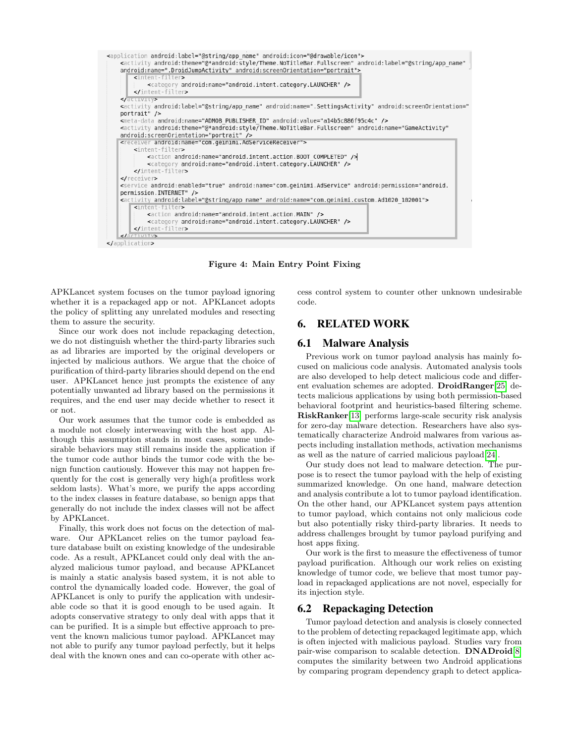

Figure 4: Main Entry Point Fixing

APKLancet system focuses on the tumor payload ignoring whether it is a repackaged app or not. APKLancet adopts the policy of splitting any unrelated modules and resecting them to assure the security.

Since our work does not include repackaging detection, we do not distinguish whether the third-party libraries such as ad libraries are imported by the original developers or injected by malicious authors. We argue that the choice of purification of third-party libraries should depend on the end user. APKLancet hence just prompts the existence of any potentially unwanted ad library based on the permissions it requires, and the end user may decide whether to resect it or not.

Our work assumes that the tumor code is embedded as a module not closely interweaving with the host app. Although this assumption stands in most cases, some undesirable behaviors may still remains inside the application if the tumor code author binds the tumor code with the benign function cautiously. However this may not happen frequently for the cost is generally very high(a profitless work seldom lasts). What's more, we purify the apps according to the index classes in feature database, so benign apps that generally do not include the index classes will not be affect by APKLancet.

Finally, this work does not focus on the detection of malware. Our APKLancet relies on the tumor payload feature database built on existing knowledge of the undesirable code. As a result, APKLancet could only deal with the analyzed malicious tumor payload, and because APKLancet is mainly a static analysis based system, it is not able to control the dynamically loaded code. However, the goal of APKLancet is only to purify the application with undesirable code so that it is good enough to be used again. It adopts conservative strategy to only deal with apps that it can be purified. It is a simple but effective approach to prevent the known malicious tumor payload. APKLancet may not able to purify any tumor payload perfectly, but it helps deal with the known ones and can co-operate with other ac<span id="page-9-0"></span>cess control system to counter other unknown undesirable code.

# 6. RELATED WORK

#### 6.1 Malware Analysis

Previous work on tumor payload analysis has mainly focused on malicious code analysis. Automated analysis tools are also developed to help detect malicious code and different evaluation schemes are adopted. DroidRanger[\[25\]](#page-11-11) detects malicious applications by using both permission-based behavioral footprint and heuristics-based filtering scheme. RiskRanker[\[13\]](#page-11-12) performs large-scale security risk analysis for zero-day malware detection. Researchers have also systematically characterize Android malwares from various aspects including installation methods, activation mechanisms as well as the nature of carried malicious payload[\[24\]](#page-11-0).

Our study does not lead to malware detection. The purpose is to resect the tumor payload with the help of existing summarized knowledge. On one hand, malware detection and analysis contribute a lot to tumor payload identification. On the other hand, our APKLancet system pays attention to tumor payload, which contains not only malicious code but also potentially risky third-party libraries. It needs to address challenges brought by tumor payload purifying and host apps fixing.

Our work is the first to measure the effectiveness of tumor payload purification. Although our work relies on existing knowledge of tumor code, we believe that most tumor payload in repackaged applications are not novel, especially for its injection style.

# 6.2 Repackaging Detection

Tumor payload detection and analysis is closely connected to the problem of detecting repackaged legitimate app, which is often injected with malicious payload. Studies vary from pair-wise comparison to scalable detection. DNADroid[\[8\]](#page-10-3) computes the similarity between two Android applications by comparing program dependency graph to detect applica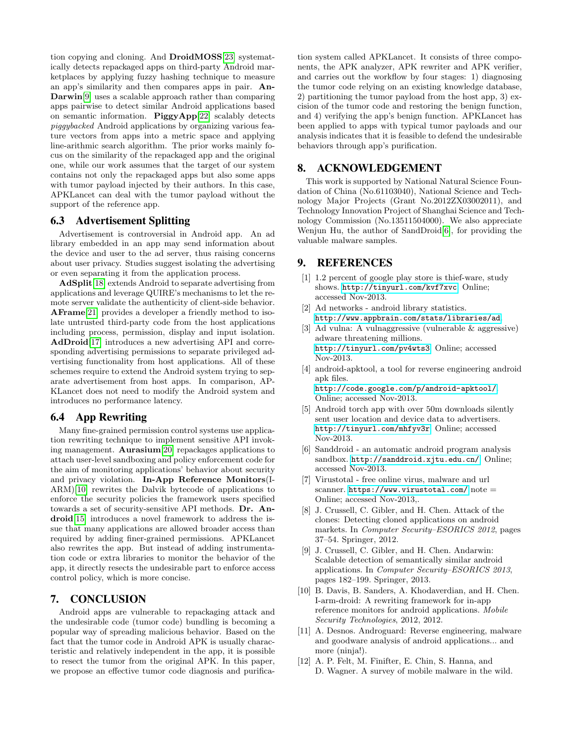tion copying and cloning. And DroidMOSS[\[23\]](#page-11-1) systematically detects repackaged apps on third-party Android marketplaces by applying fuzzy hashing technique to measure an app's similarity and then compares apps in pair. An-Darwin[\[9\]](#page-10-4) uses a scalable approach rather than comparing apps pairwise to detect similar Android applications based on semantic information. PiggyApp[\[22\]](#page-11-3) scalably detects piggybacked Android applications by organizing various feature vectors from apps into a metric space and applying line-arithmic search algorithm. The prior works mainly focus on the similarity of the repackaged app and the original one, while our work assumes that the target of our system contains not only the repackaged apps but also some apps with tumor payload injected by their authors. In this case, APKLancet can deal with the tumor payload without the support of the reference app.

# 6.3 Advertisement Splitting

Advertisement is controversial in Android app. An ad library embedded in an app may send information about the device and user to the ad server, thus raising concerns about user privacy. Studies suggest isolating the advertising or even separating it from the application process.

AdSplit[\[18\]](#page-11-7) extends Android to separate advertising from applications and leverage QUIRE's mechanisms to let the remote server validate the authenticity of client-side behavior. AFrame[\[21\]](#page-11-6) provides a developer a friendly method to isolate untrusted third-party code from the host applications including process, permission, display and input isolation. AdDroid<sup>[\[17\]](#page-11-8)</sup> introduces a new advertising API and corresponding advertising permissions to separate privileged advertising functionality from host applications. All of these schemes require to extend the Android system trying to separate advertisement from host apps. In comparison, AP-KLancet does not need to modify the Android system and introduces no performance latency.

# 6.4 App Rewriting

Many fine-grained permission control systems use application rewriting technique to implement sensitive API invoking management. Aurasium[\[20\]](#page-11-5) repackages applications to attach user-level sandboxing and policy enforcement code for the aim of monitoring applications' behavior about security and privacy violation. In-App Reference Monitors(I-ARM)[\[10\]](#page-10-5) rewrites the Dalvik bytecode of applications to enforce the security policies the framework users specified towards a set of security-sensitive API methods. Dr. Android[\[15\]](#page-11-4) introduces a novel framework to address the issue that many applications are allowed broader access than required by adding finer-grained permissions. APKLancet also rewrites the app. But instead of adding instrumentation code or extra libraries to monitor the behavior of the app, it directly resects the undesirable part to enforce access control policy, which is more concise.

# 7. CONCLUSION

Android apps are vulnerable to repackaging attack and the undesirable code (tumor code) bundling is becoming a popular way of spreading malicious behavior. Based on the fact that the tumor code in Android APK is usually characteristic and relatively independent in the app, it is possible to resect the tumor from the original APK. In this paper, we propose an effective tumor code diagnosis and purification system called APKLancet. It consists of three components, the APK analyzer, APK rewriter and APK verifier, and carries out the workflow by four stages: 1) diagnosing the tumor code relying on an existing knowledge database, 2) partitioning the tumor payload from the host app, 3) excision of the tumor code and restoring the benign function, and 4) verifying the app's benign function. APKLancet has been applied to apps with typical tumor payloads and our analysis indicates that it is feasible to defend the undesirable behaviors through app's purification.

# 8. ACKNOWLEDGEMENT

This work is supported by National Natural Science Foundation of China (No.61103040), National Science and Technology Major Projects (Grant No.2012ZX03002011), and Technology Innovation Project of Shanghai Science and Technology Commission (No.13511504000). We also appreciate Wenjun Hu, the author of SandDroid[\[6\]](#page-10-10), for providing the valuable malware samples.

### 9. REFERENCES

- <span id="page-10-2"></span>[1] 1.2 percent of google play store is thief-ware, study shows. [http://tinyurl.com/kvf7xvc]( http://tinyurl.com/kvf7xvc ). Online; accessed Nov-2013.
- <span id="page-10-7"></span>[2] Ad networks - android library statistics. <http://www.appbrain.com/stats/libraries/ad>.
- <span id="page-10-1"></span>[3] Ad vulna: A vulnaggressive (vulnerable & aggressive) adware threatening millions. <http://tinyurl.com/pv4wts3>. Online; accessed Nov-2013.
- <span id="page-10-9"></span>[4] android-apktool, a tool for reverse engineering android apk files. [http://code.google.com/p/android-apktool/]( http://code.google.com/p/android-apktool/ ). Online; accessed Nov-2013.
- <span id="page-10-0"></span>[5] Android torch app with over 50m downloads silently sent user location and device data to advertisers. <http://tinyurl.com/mhfyv3r>. Online; accessed Nov-2013.
- <span id="page-10-10"></span>[6] Sanddroid - an automatic android program analysis sandbox. <http://sanddroid.xjtu.edu.cn/>. Online; accessed Nov-2013.
- <span id="page-10-11"></span>[7] Virustotal - free online virus, malware and url scanner. <https://www.virustotal.com/>note= Online; accessed Nov-2013,.
- <span id="page-10-3"></span>[8] J. Crussell, C. Gibler, and H. Chen. Attack of the clones: Detecting cloned applications on android markets. In Computer Security–ESORICS 2012, pages 37–54. Springer, 2012.
- <span id="page-10-4"></span>[9] J. Crussell, C. Gibler, and H. Chen. Andarwin: Scalable detection of semantically similar android applications. In Computer Security–ESORICS 2013, pages 182–199. Springer, 2013.
- <span id="page-10-5"></span>[10] B. Davis, B. Sanders, A. Khodaverdian, and H. Chen. I-arm-droid: A rewriting framework for in-app reference monitors for android applications. Mobile Security Technologies, 2012, 2012.
- <span id="page-10-8"></span>[11] A. Desnos. Androguard: Reverse engineering, malware and goodware analysis of android applications... and more (ninja!).
- <span id="page-10-6"></span>[12] A. P. Felt, M. Finifter, E. Chin, S. Hanna, and D. Wagner. A survey of mobile malware in the wild.